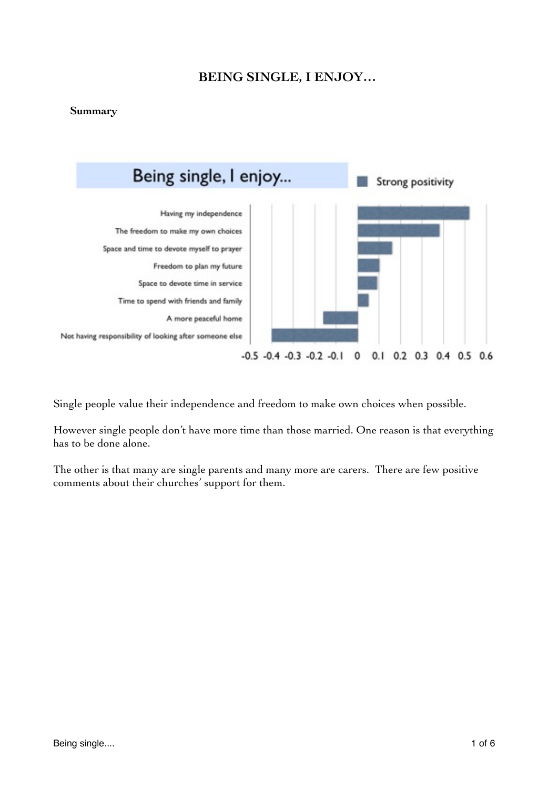# **BEING SINGLE, I ENJOY…**

# **Summary**



Single people value their independence and freedom to make own choices when possible.

However single people don't have more time than those married. One reason is that everything has to be done alone.

The other is that many are single parents and many more are carers. There are few positive comments about their churches' support for them.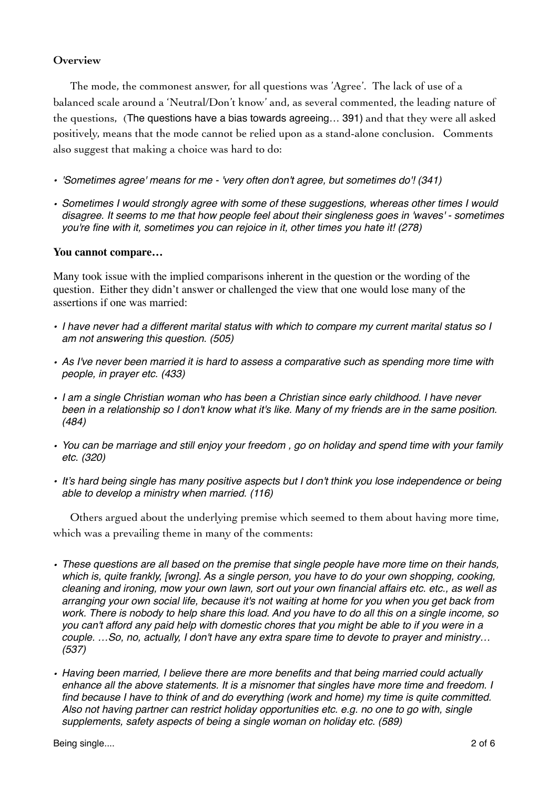### **Overview**

The mode, the commonest answer, for all questions was 'Agree'. The lack of use of a balanced scale around a 'Neutral/Don't know' and, as several commented, the leading nature of the questions, (The questions have a bias towards agreeing… 391) and that they were all asked positively, means that the mode cannot be relied upon as a stand-alone conclusion. Comments also suggest that making a choice was hard to do:

- *• 'Sometimes agree' means for me 'very often don't agree, but sometimes do'! (341)*
- *• Sometimes I would strongly agree with some of these suggestions, whereas other times I would disagree. It seems to me that how people feel about their singleness goes in 'waves' - sometimes you're fine with it, sometimes you can rejoice in it, other times you hate it! (278)*

# **You cannot compare…**

Many took issue with the implied comparisons inherent in the question or the wording of the question. Either they didn't answer or challenged the view that one would lose many of the assertions if one was married:

- *• I have never had a different marital status with which to compare my current marital status so I am not answering this question. (505)*
- *• As I've never been married it is hard to assess a comparative such as spending more time with people, in prayer etc. (433)*
- *• I am a single Christian woman who has been a Christian since early childhood. I have never been in a relationship so I don't know what it's like. Many of my friends are in the same position. (484)*
- *• You can be marriage and still enjoy your freedom , go on holiday and spend time with your family etc. (320)*
- *• It's hard being single has many positive aspects but I don't think you lose independence or being able to develop a ministry when married. (116)*

Others argued about the underlying premise which seemed to them about having more time, which was a prevailing theme in many of the comments:

- *• These questions are all based on the premise that single people have more time on their hands, which is, quite frankly, [wrong]. As a single person, you have to do your own shopping, cooking, cleaning and ironing, mow your own lawn, sort out your own financial affairs etc. etc., as well as arranging your own social life, because it's not waiting at home for you when you get back from work. There is nobody to help share this load. And you have to do all this on a single income, so you can't afford any paid help with domestic chores that you might be able to if you were in a couple. …So, no, actually, I don't have any extra spare time to devote to prayer and ministry… (537)*
- *• Having been married, I believe there are more benefits and that being married could actually enhance all the above statements. It is a misnomer that singles have more time and freedom. I find because I have to think of and do everything (work and home) my time is quite committed. Also not having partner can restrict holiday opportunities etc. e.g. no one to go with, single supplements, safety aspects of being a single woman on holiday etc. (589)*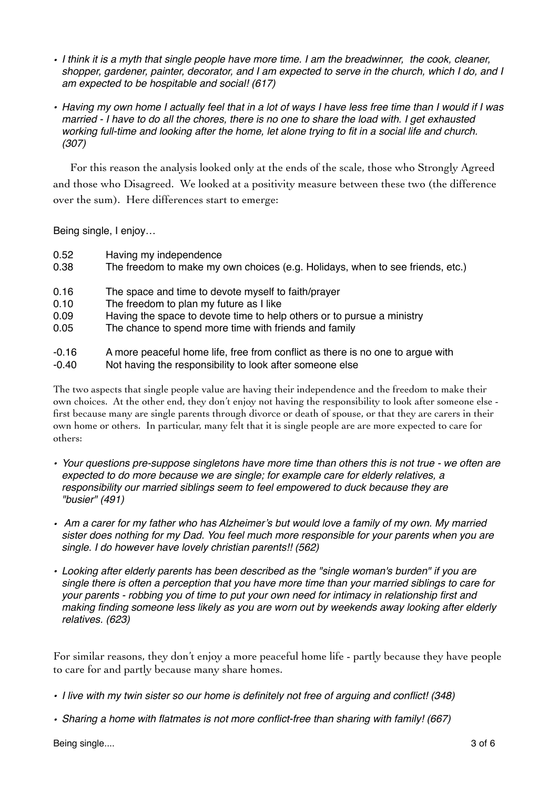- *• I think it is a myth that single people have more time. I am the breadwinner, the cook, cleaner, shopper, gardener, painter, decorator, and I am expected to serve in the church, which I do, and I am expected to be hospitable and social! (617)*
- *• Having my own home I actually feel that in a lot of ways I have less free time than I would if I was married - I have to do all the chores, there is no one to share the load with. I get exhausted working full-time and looking after the home, let alone trying to fit in a social life and church. (307)*

For this reason the analysis looked only at the ends of the scale, those who Strongly Agreed and those who Disagreed. We looked at a positivity measure between these two (the difference over the sum). Here differences start to emerge:

Being single, I enjoy…

- 0.52 Having my independence
- 0.38 The freedom to make my own choices (e.g. Holidays, when to see friends, etc.)
- 0.16 The space and time to devote myself to faith/prayer
- 0.10 The freedom to plan my future as I like
- 0.09 Having the space to devote time to help others or to pursue a ministry
- 0.05 The chance to spend more time with friends and family
- -0.16 A more peaceful home life, free from conflict as there is no one to argue with
- -0.40!! Not having the responsibility to look after someone else

The two aspects that single people value are having their independence and the freedom to make their own choices. At the other end, they don't enjoy not having the responsibility to look after someone else first because many are single parents through divorce or death of spouse, or that they are carers in their own home or others. In particular, many felt that it is single people are are more expected to care for others:

- *• Your questions pre-suppose singletons have more time than others this is not true we often are expected to do more because we are single; for example care for elderly relatives, a responsibility our married siblings seem to feel empowered to duck because they are "busier" (491)*
- *Am a carer for my father who has Alzheimer's but would love a family of my own. My married sister does nothing for my Dad. You feel much more responsible for your parents when you are single. I do however have lovely christian parents!! (562)*
- *• Looking after elderly parents has been described as the "single woman's burden" if you are single there is often a perception that you have more time than your married siblings to care for your parents - robbing you of time to put your own need for intimacy in relationship first and making finding someone less likely as you are worn out by weekends away looking after elderly relatives. (623)*

For similar reasons, they don't enjoy a more peaceful home life - partly because they have people to care for and partly because many share homes.

- *• I live with my twin sister so our home is definitely not free of arguing and conflict! (348)*
- *• Sharing a home with flatmates is not more conflict-free than sharing with family! (667)*

Being single.... 3 of 6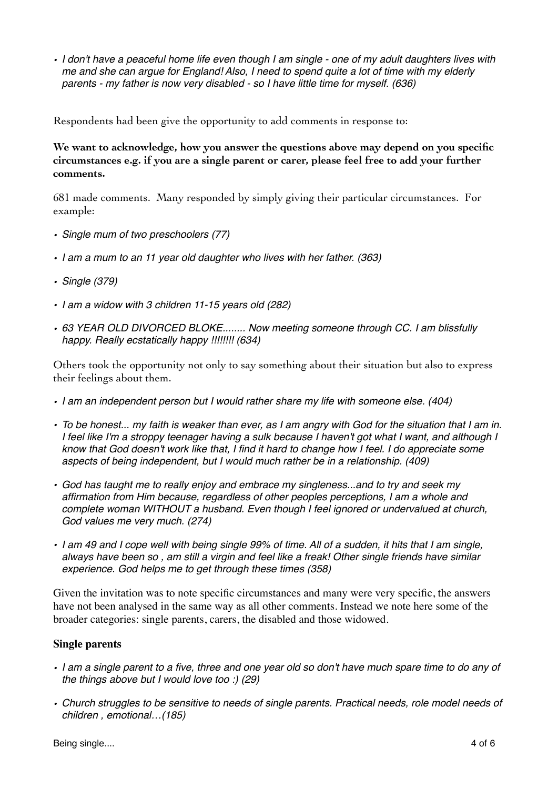*• I don't have a peaceful home life even though I am single - one of my adult daughters lives with me and she can argue for England! Also, I need to spend quite a lot of time with my elderly parents - my father is now very disabled - so I have little time for myself. (636)*

Respondents had been give the opportunity to add comments in response to:

**We want to acknowledge, how you answer the questions above may depend on you specific circumstances e.g. if you are a single parent or carer, please feel free to add your further comments.** 

681 made comments. Many responded by simply giving their particular circumstances. For example:

- *• Single mum of two preschoolers (77)*
- *• I am a mum to an 11 year old daughter who lives with her father. (363)*
- *• Single (379)*
- *• I am a widow with 3 children 11-15 years old (282)*
- *• 63 YEAR OLD DIVORCED BLOKE........ Now meeting someone through CC. I am blissfully happy. Really ecstatically happy !!!!!!!! (634)*

Others took the opportunity not only to say something about their situation but also to express their feelings about them.

- *• I am an independent person but I would rather share my life with someone else. (404)*
- *• To be honest... my faith is weaker than ever, as I am angry with God for the situation that I am in. I feel like I'm a stroppy teenager having a sulk because I haven't got what I want, and although I know that God doesn't work like that, I find it hard to change how I feel. I do appreciate some aspects of being independent, but I would much rather be in a relationship. (409)*
- *• God has taught me to really enjoy and embrace my singleness...and to try and seek my affirmation from Him because, regardless of other peoples perceptions, I am a whole and complete woman WITHOUT a husband. Even though I feel ignored or undervalued at church, God values me very much. (274)*
- *• I am 49 and I cope well with being single 99% of time. All of a sudden, it hits that I am single, always have been so , am still a virgin and feel like a freak! Other single friends have similar experience. God helps me to get through these times (358)*

Given the invitation was to note specific circumstances and many were very specific, the answers have not been analysed in the same way as all other comments. Instead we note here some of the broader categories: single parents, carers, the disabled and those widowed.

#### **Single parents**

- *• I am a single parent to a five, three and one year old so don't have much spare time to do any of the things above but I would love too :) (29)*
- *• Church struggles to be sensitive to needs of single parents. Practical needs, role model needs of children , emotional…(185)*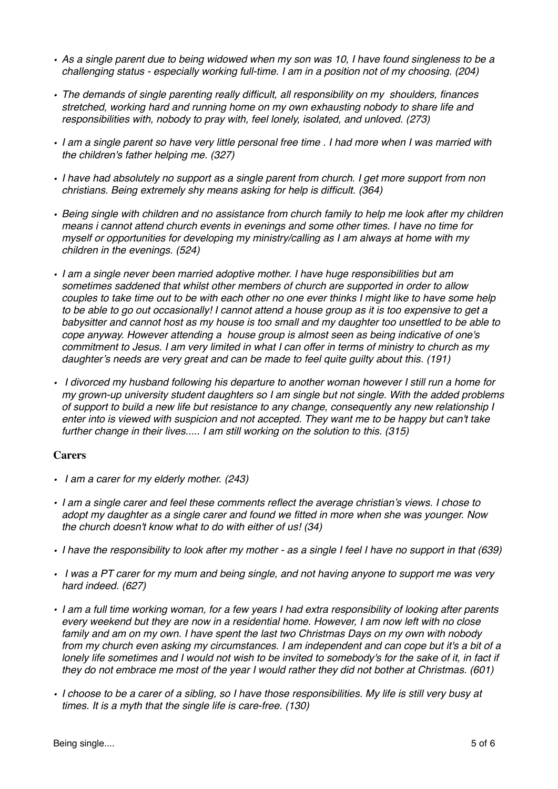- *• As a single parent due to being widowed when my son was 10, I have found singleness to be a challenging status - especially working full-time. I am in a position not of my choosing. (204)*
- *• The demands of single parenting really difficult, all responsibility on my shoulders, finances stretched, working hard and running home on my own exhausting nobody to share life and responsibilities with, nobody to pray with, feel lonely, isolated, and unloved. (273)*
- *• I am a single parent so have very little personal free time . I had more when I was married with the children's father helping me. (327)*
- *• I have had absolutely no support as a single parent from church. I get more support from non christians. Being extremely shy means asking for help is difficult. (364)*
- *• Being single with children and no assistance from church family to help me look after my children means i cannot attend church events in evenings and some other times. I have no time for myself or opportunities for developing my ministry/calling as I am always at home with my children in the evenings. (524)*
- *• I am a single never been married adoptive mother. I have huge responsibilities but am sometimes saddened that whilst other members of church are supported in order to allow couples to take time out to be with each other no one ever thinks I might like to have some help to be able to go out occasionally! I cannot attend a house group as it is too expensive to get a babysitter and cannot host as my house is too small and my daughter too unsettled to be able to cope anyway. However attending a house group is almost seen as being indicative of one's commitment to Jesus. I am very limited in what I can offer in terms of ministry to church as my daughter's needs are very great and can be made to feel quite guilty about this. (191)*
- *I divorced my husband following his departure to another woman however I still run a home for my grown-up university student daughters so I am single but not single. With the added problems of support to build a new life but resistance to any change, consequently any new relationship I enter into is viewed with suspicion and not accepted. They want me to be happy but can't take further change in their lives..... I am still working on the solution to this. (315)*

# **Carers**

- *I am a carer for my elderly mother. (243)*
- *• I am a single carer and feel these comments reflect the average christian's views. I chose to adopt my daughter as a single carer and found we fitted in more when she was younger. Now the church doesn't know what to do with either of us! (34)*
- *• I have the responsibility to look after my mother as a single I feel I have no support in that (639)*
- *I was a PT carer for my mum and being single, and not having anyone to support me was very hard indeed. (627)*
- *• I am a full time working woman, for a few years I had extra responsibility of looking after parents every weekend but they are now in a residential home. However, I am now left with no close family and am on my own. I have spent the last two Christmas Days on my own with nobody from my church even asking my circumstances. I am independent and can cope but it's a bit of a lonely life sometimes and I would not wish to be invited to somebody's for the sake of it, in fact if they do not embrace me most of the year I would rather they did not bother at Christmas. (601)*
- *• I choose to be a carer of a sibling, so I have those responsibilities. My life is still very busy at times. It is a myth that the single life is care-free. (130)*